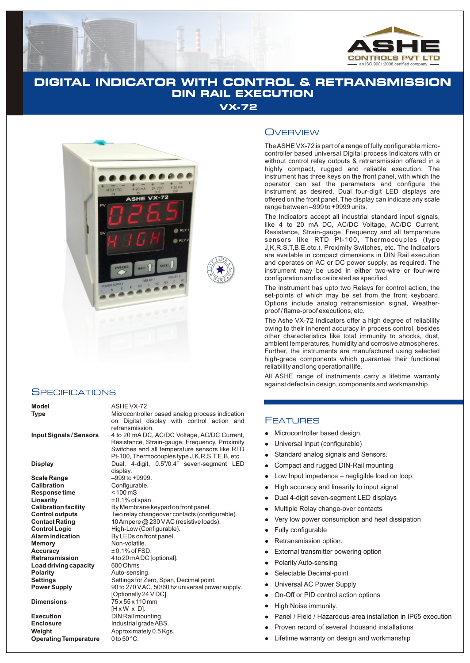

# **DIGITAL INDICATOR WITH CONTROL & RETRANSMISSION DIN RAIL EXECUTION**

**VX-72**

**T I M EE**



## **SPECIFICATIONS**

**Scale Range**  $-99966 + 99999$ . **Calibration** Configurable.<br> **Response time** < 100 mS **Response time**<br>Linearity **Linearity**  $\pm 0.1\%$  of span.<br>**Calibration facility** By Membrane k **Accuracy** ± 0.1% of FSD. **Load driving capacity**<br>Polarity

**Execution**<br> **Enclosure**<br> **Enclosure** Industrial grade AE **Weight** Approximately 0.5 Kgs.<br>**Operating Temperature** 0 to 50 °C. **Operating Temperature** 

### **Model** ASHE VX-72

**Enclosure** Industrial grade ABS.

**Type** Microcontroller based analog process indication on Digital display with control action and retransmission. **Input Signals / Sensors** 4 to 20 mA DC, AC/DC Voltage, AC/DC Current, Resistance, Strain-gauge, Frequency, Proximity Switches and all temperature sensors like RTD Pt-100, Thermocouples type J,K,R,S,T,E,B, etc.

**Display** Dual, 4-digit, 0.5"/0.4" seven-segment LED display. **Calibration facility** By Membrane keypad on front panel.<br> **Control outputs** Two relay changeover contacts (conf **Control outputs** Two relay changeover contacts (configurable).<br> **Contact Rating** 10 Ampere @ 230 V AC (resistive loads). **Contact Rating** 10 Ampere @ 230 V AC (resistive loads).<br> **Control Logic** High-Low (Configurable). **High-Low (Configurable). Alarm indication** By LEDs on front panel.<br>**Memory CONTING CONTINGLY Memory** Non-volatile. **Retransmission** 4 to 20 mADC [optional].<br>**Load driving capacity** 600 Ohms Auto-sensing. **Settings** Settings for Zero, Span, Decimal point. **Power Supply** 90 to 270 V AC, 50/60 hz universal power supply. [Optionally 24 V DC]. **Dimensions** 75 x 55 x 110 mm [H x W x D].

### **OVERVIEW**

The ASHE VX-72 is part of a range of fully configurable microcontroller based universal Digital process Indicators with or without control relay outputs & retransmission offered in a highly compact, rugged and reliable execution. The instrument has three keys on the front panel, with which the operator can set the parameters and configure the instrument as desired. Dual four-digit LED displays are offered on the front panel. The display can indicate any scale range between –999 to +9999 units.

The Indicators accept all industrial standard input signals, like 4 to 20 mA DC, AC/DC Voltage, AC/DC Current, Resistance, Strain-gauge, Frequency and all temperature sensors like RTD Pt-100, Thermocouples (type J,K,R,S,T,B.E.etc.), Proximity Switches, etc. The Indicators are available in compact dimensions in DIN Rail execution and operates on AC or DC power supply, as required. The instrument may be used in either two-wire or four-wire configuration and is calibrated as specified.

The instrument has upto two Relays for control action, the set-points of which may be set from the front keyboard. Options include analog retransmission signal, Weatherproof / flame-proof executions, etc.

The Ashe VX-72 Indicators offer a high degree of reliability owing to their inherent accuracy in process control, besides other characteristics like total immunity to shocks, dust, ambient temperatures, humidity and corrosive atmospheres. Further, the instruments are manufactured using selected high-grade components which guarantee their functional reliability and long operational life.

All ASHE range of instruments carry a lifetime warranty against defects in design, components and workmanship.

### FEATURES

- Microcontroller based design.
- Universal Input (configurable)
- Standard analog signals and Sensors.
- Compact and rugged DIN-Rail mounting
- Low Input impedance negligible load on loop.
- High accuracy and linearity to input signal
- Dual 4-digit seven-segment LED displays
- Multiple Relay change-over contacts
- Very low power consumption and heat dissipation
- Fully configurable
- Retransmission option.
- External transmitter powering option
- Polarity Auto-sensing
- Selectable Decimal-point
- Universal AC Power Supply
- On-Off or PID control action options
- lliver and the Microsoft Communication of the Microsoft Communication of the Microsoft Communication of the Microsoft Communication of the Microsoft Communication of the Microsoft Communication of the Microsoft Communicati High Noise immunity.
- Panel / Field / Hazardous-area installation in IP65 execution
- Proven record of several thousand installations
- Lifetime warranty on design and workmanship